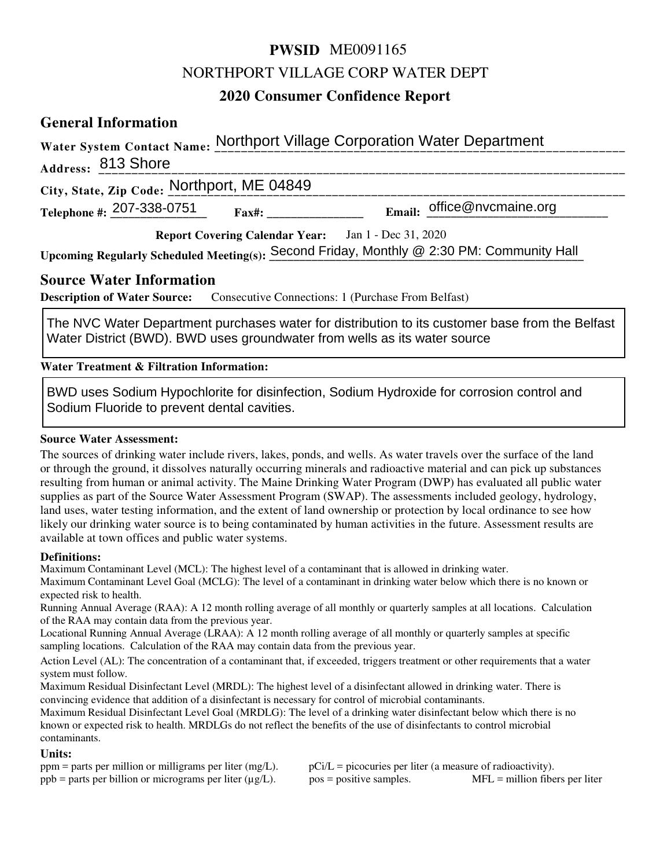# **PWSID** ME0091165

# NORTHPORT VILLAGE CORP WATER DEPT

# **2020 Consumer Confidence Report**

# **General Information**

|                                            | Water System Contact Name: Northport Village Corporation Water Department                 |
|--------------------------------------------|-------------------------------------------------------------------------------------------|
| Address: 813 Shore                         |                                                                                           |
| City, State, Zip Code: Northport, ME 04849 |                                                                                           |
| Telephone #: 207-338-0751                  | Email: $office@n$ vcmaine.org<br>$\textbf{Fax}$ #:                                        |
|                                            | Report Covering Calendar Year: Jan 1 - Dec 31, 2020                                       |
|                                            | Upcoming Regularly Scheduled Meeting(s): Second Friday, Monthly @ 2:30 PM: Community Hall |
| <b>Source Water Information</b>            |                                                                                           |

**Description of Water Source:** Consecutive Connections: 1 (Purchase From Belfast)

The NVC Water Department purchases water for distribution to its customer base from the Belfast Water District (BWD). BWD uses groundwater from wells as its water source

**Water Treatment & Filtration Information:**

BWD uses Sodium Hypochlorite for disinfection, Sodium Hydroxide for corrosion control and Sodium Fluoride to prevent dental cavities.

### **Source Water Assessment:**

The sources of drinking water include rivers, lakes, ponds, and wells. As water travels over the surface of the land or through the ground, it dissolves naturally occurring minerals and radioactive material and can pick up substances resulting from human or animal activity. The Maine Drinking Water Program (DWP) has evaluated all public water supplies as part of the Source Water Assessment Program (SWAP). The assessments included geology, hydrology, land uses, water testing information, and the extent of land ownership or protection by local ordinance to see how likely our drinking water source is to being contaminated by human activities in the future. Assessment results are available at town offices and public water systems.

#### **Definitions:**

Maximum Contaminant Level (MCL): The highest level of a contaminant that is allowed in drinking water.

Maximum Contaminant Level Goal (MCLG): The level of a contaminant in drinking water below which there is no known or expected risk to health.

Running Annual Average (RAA): A 12 month rolling average of all monthly or quarterly samples at all locations. Calculation of the RAA may contain data from the previous year.

Locational Running Annual Average (LRAA): A 12 month rolling average of all monthly or quarterly samples at specific sampling locations. Calculation of the RAA may contain data from the previous year.

Action Level (AL): The concentration of a contaminant that, if exceeded, triggers treatment or other requirements that a water system must follow.

Maximum Residual Disinfectant Level (MRDL): The highest level of a disinfectant allowed in drinking water. There is convincing evidence that addition of a disinfectant is necessary for control of microbial contaminants.

Maximum Residual Disinfectant Level Goal (MRDLG): The level of a drinking water disinfectant below which there is no known or expected risk to health. MRDLGs do not reflect the benefits of the use of disinfectants to control microbial contaminants.

**Units:**<br>ppm = parts per million or milligrams per liter (mg/L).  $pCi/L = picocuries per liter (a measure of radioactivity).$ ppb = parts per billion or micrograms per liter  $(\mu g/L)$ . pos = positive samples. MFL = million fibers per liter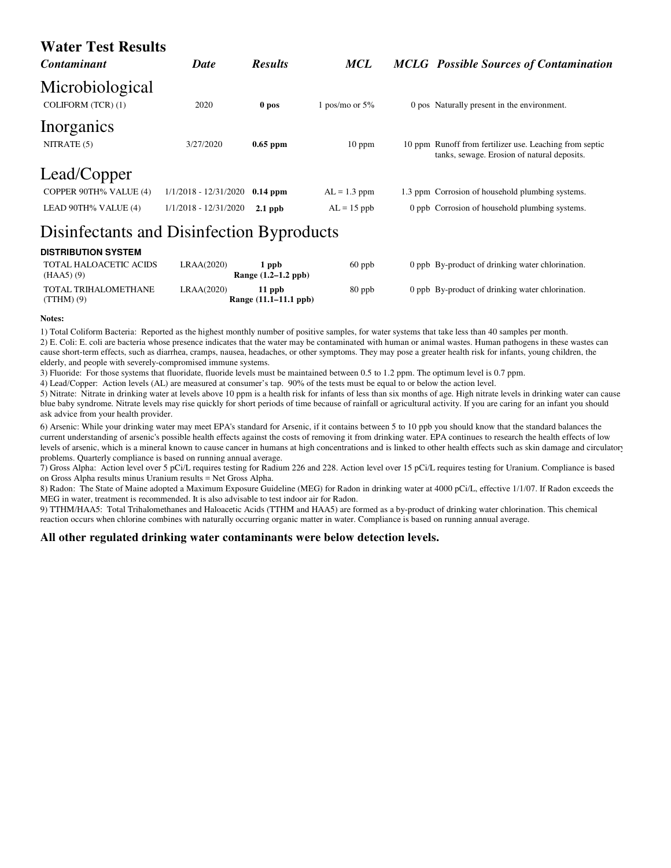| <b>Water Test Results</b><br><b>Contaminant</b> | <b>Date</b>           | <b>Results</b> | <b>MCL</b>        |  | <b>MCLG</b> Possible Sources of Contamination                                                          |  |
|-------------------------------------------------|-----------------------|----------------|-------------------|--|--------------------------------------------------------------------------------------------------------|--|
| Microbiological<br>COLIFORM (TCR) (1)           | 2020                  | 0 pos          | 1 pos/mo or $5\%$ |  | 0 pos Naturally present in the environment.                                                            |  |
| Inorganics<br>NITRATE (5)                       | 3/27/2020             | $0.65$ ppm     | $10$ ppm          |  | 10 ppm Runoff from fertilizer use. Leaching from septic<br>tanks, sewage. Erosion of natural deposits. |  |
| Lead/Copper                                     |                       |                |                   |  |                                                                                                        |  |
| COPPER 90TH% VALUE (4)                          | 1/1/2018 - 12/31/2020 | $0.14$ ppm     | $AL = 1.3$ ppm    |  | 1.3 ppm Corrosion of household plumbing systems.                                                       |  |
| LEAD 90TH% VALUE (4)                            | 1/1/2018 - 12/31/2020 | $2.1$ ppb      | $AL = 15$ ppb     |  | 0 ppb Corrosion of household plumbing systems.                                                         |  |
| Disinfectants and Disinfection Byproducts       |                       |                |                   |  |                                                                                                        |  |

#### **DISTRIBUTION SYSTEM**

| TOTAL HALOACETIC ACIDS<br>(HAA5) (9) | LRAA(2020) | 1 ppb<br>Range $(1.2-1.2$ ppb)     | $60$ ppb | 0 ppb By-product of drinking water chlorination. |
|--------------------------------------|------------|------------------------------------|----------|--------------------------------------------------|
| TOTAL TRIHALOMETHANE<br>$(TTHM)$ (9) | LRAA(2020) | $11$ ppb.<br>Range (11.1–11.1 ppb) | $80$ ppb | 0 ppb By-product of drinking water chlorination. |

#### **Notes:**

1) Total Coliform Bacteria: Reported as the highest monthly number of positive samples, for water systems that take less than 40 samples per month. 2) E. Coli: E. coli are bacteria whose presence indicates that the water may be contaminated with human or animal wastes. Human pathogens in these wastes can cause short-term effects, such as diarrhea, cramps, nausea, headaches, or other symptoms. They may pose a greater health risk for infants, young children, the elderly, and people with severely-compromised immune systems.

3) Fluoride: For those systems that fluoridate, fluoride levels must be maintained between 0.5 to 1.2 ppm. The optimum level is 0.7 ppm.

4) Lead/Copper: Action levels (AL) are measured at consumer's tap. 90% of the tests must be equal to or below the action level.

5) Nitrate: Nitrate in drinking water at levels above 10 ppm is a health risk for infants of less than six months of age. High nitrate levels in drinking water can cause blue baby syndrome. Nitrate levels may rise quickly for short periods of time because of rainfall or agricultural activity. If you are caring for an infant you should ask advice from your health provider.

6) Arsenic: While your drinking water may meet EPA's standard for Arsenic, if it contains between 5 to 10 ppb you should know that the standard balances the current understanding of arsenic's possible health effects against the costs of removing it from drinking water. EPA continues to research the health effects of low levels of arsenic, which is a mineral known to cause cancer in humans at high concentrations and is linked to other health effects such as skin damage and circulatory problems. Quarterly compliance is based on running annual average.

7) Gross Alpha: Action level over 5 pCi/L requires testing for Radium 226 and 228. Action level over 15 pCi/L requires testing for Uranium. Compliance is based on Gross Alpha results minus Uranium results = Net Gross Alpha.

8) Radon: The State of Maine adopted a Maximum Exposure Guideline (MEG) for Radon in drinking water at 4000 pCi/L, effective 1/1/07. If Radon exceeds the MEG in water, treatment is recommended. It is also advisable to test indoor air for Radon.

9) TTHM/HAA5: Total Trihalomethanes and Haloacetic Acids (TTHM and HAA5) are formed as a by-product of drinking water chlorination. This chemical reaction occurs when chlorine combines with naturally occurring organic matter in water. Compliance is based on running annual average.

#### **All other regulated drinking water contaminants were below detection levels.**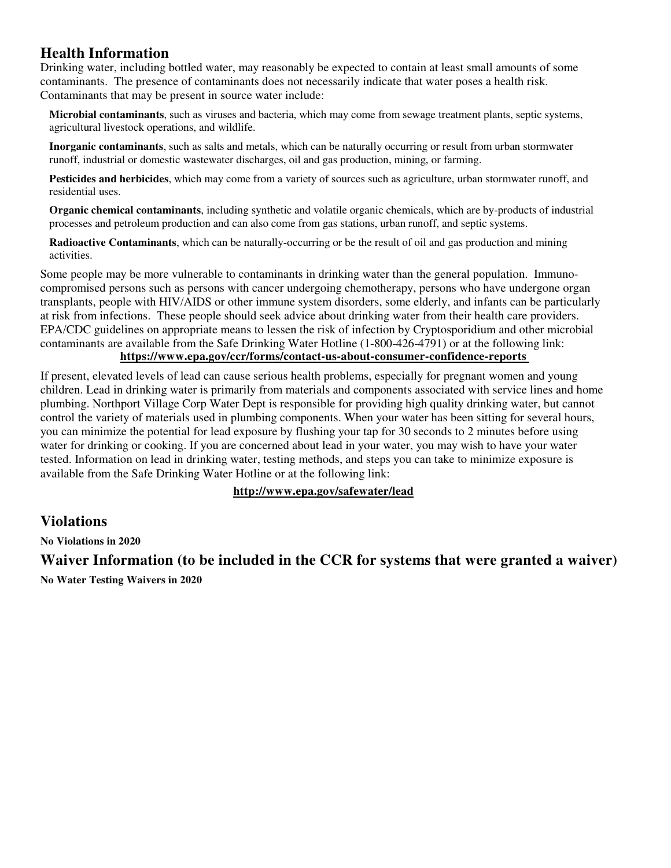# **Health Information**

Drinking water, including bottled water, may reasonably be expected to contain at least small amounts of some contaminants. The presence of contaminants does not necessarily indicate that water poses a health risk. Contaminants that may be present in source water include:

**Microbial contaminants**, such as viruses and bacteria, which may come from sewage treatment plants, septic systems, agricultural livestock operations, and wildlife.

**Inorganic contaminants**, such as salts and metals, which can be naturally occurring or result from urban stormwater runoff, industrial or domestic wastewater discharges, oil and gas production, mining, or farming.

**Pesticides and herbicides**, which may come from a variety of sources such as agriculture, urban stormwater runoff, and residential uses.

**Organic chemical contaminants**, including synthetic and volatile organic chemicals, which are by-products of industrial processes and petroleum production and can also come from gas stations, urban runoff, and septic systems.

**Radioactive Contaminants**, which can be naturally-occurring or be the result of oil and gas production and mining activities.

Some people may be more vulnerable to contaminants in drinking water than the general population. Immunocompromised persons such as persons with cancer undergoing chemotherapy, persons who have undergone organ transplants, people with HIV/AIDS or other immune system disorders, some elderly, and infants can be particularly at risk from infections. These people should seek advice about drinking water from their health care providers. EPA/CDC guidelines on appropriate means to lessen the risk of infection by Cryptosporidium and other microbial contaminants are available from the Safe Drinking Water Hotline (1-800-426-4791) or at the following link: **https://www.epa.gov/ccr/forms/contact-us-about-consumer-confidence-reports** 

If present, elevated levels of lead can cause serious health problems, especially for pregnant women and young children. Lead in drinking water is primarily from materials and components associated with service lines and home plumbing. Northport Village Corp Water Dept is responsible for providing high quality drinking water, but cannot control the variety of materials used in plumbing components. When your water has been sitting for several hours, you can minimize the potential for lead exposure by flushing your tap for 30 seconds to 2 minutes before using water for drinking or cooking. If you are concerned about lead in your water, you may wish to have your water tested. Information on lead in drinking water, testing methods, and steps you can take to minimize exposure is available from the Safe Drinking Water Hotline or at the following link:

# **http://www.epa.gov/safewater/lead**

# **Violations**

**No Violations in 2020**

**Waiver Information (to be included in the CCR for systems that were granted a waiver)**

**No Water Testing Waivers in 2020**